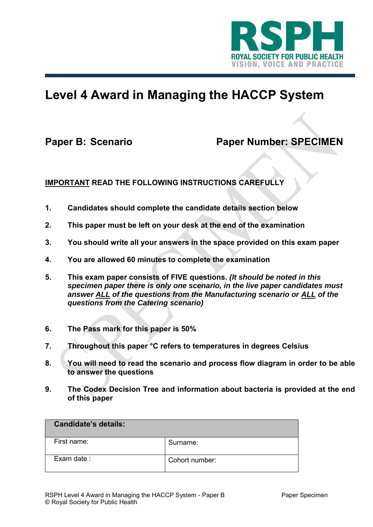

# **Level 4 Award in Managing the HACCP System**

## Paper B: Scenario Paper Number: SPECIMEN

### **IMPORTANT READ THE FOLLOWING INSTRUCTIONS CAREFULLY**

- **1. Candidates should complete the candidate details section below**
- **2. This paper must be left on your desk at the end of the examination**
- **3. You should write all your answers in the space provided on this exam paper**
- **4. You are allowed 60 minutes to complete the examination**
- **5. This exam paper consists of FIVE questions.** *(It should be noted in this specimen paper there is only one scenario, in the live paper candidates must answer ALL of the questions from the Manufacturing scenario or ALL of the questions from the Catering scenario)*
- **6. The Pass mark for this paper is 50%**
- **7. Throughout this paper °C refers to temperatures in degrees Celsius**
- **8. You will need to read the scenario and process flow diagram in order to be able to answer the questions**
- **9. The Codex Decision Tree and information about bacteria is provided at the end of this paper**

| <b>Candidate's details:</b> |                |
|-----------------------------|----------------|
| First name:                 | Surname:       |
| Exam date:                  | Cohort number: |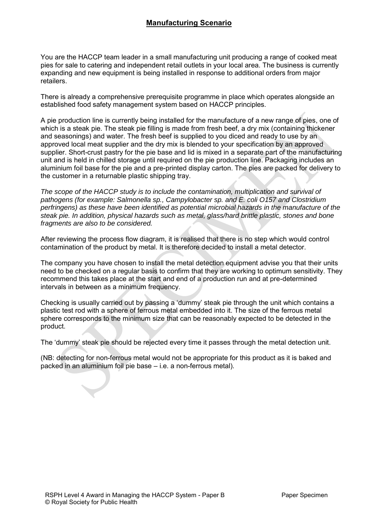#### **Manufacturing Scenario**

You are the HACCP team leader in a small manufacturing unit producing a range of cooked meat pies for sale to catering and independent retail outlets in your local area. The business is currently expanding and new equipment is being installed in response to additional orders from major retailers.

There is already a comprehensive prerequisite programme in place which operates alongside an established food safety management system based on HACCP principles.

A pie production line is currently being installed for the manufacture of a new range of pies, one of which is a steak pie. The steak pie filling is made from fresh beef, a dry mix (containing thickener and seasonings) and water. The fresh beef is supplied to you diced and ready to use by an approved local meat supplier and the dry mix is blended to your specification by an approved supplier. Short-crust pastry for the pie base and lid is mixed in a separate part of the manufacturing unit and is held in chilled storage until required on the pie production line. Packaging includes an aluminium foil base for the pie and a pre-printed display carton. The pies are packed for delivery to the customer in a returnable plastic shipping tray.

*The scope of the HACCP study is to include the contamination, multiplication and survival of pathogens (for example: Salmonella sp., Campylobacter sp. and E. coli O157 and Clostridium perfringens) as these have been identified as potential microbial hazards in the manufacture of the steak pie. In addition, physical hazards such as metal, glass/hard brittle plastic, stones and bone fragments are also to be considered.*

After reviewing the process flow diagram, it is realised that there is no step which would control contamination of the product by metal. It is therefore decided to install a metal detector.

The company you have chosen to install the metal detection equipment advise you that their units need to be checked on a regular basis to confirm that they are working to optimum sensitivity. They recommend this takes place at the start and end of a production run and at pre-determined intervals in between as a minimum frequency.

Checking is usually carried out by passing a 'dummy' steak pie through the unit which contains a plastic test rod with a sphere of ferrous metal embedded into it. The size of the ferrous metal sphere corresponds to the minimum size that can be reasonably expected to be detected in the product.

The 'dummy' steak pie should be rejected every time it passes through the metal detection unit.

(NB: detecting for non-ferrous metal would not be appropriate for this product as it is baked and packed in an aluminium foil pie base – i.e. a non-ferrous metal).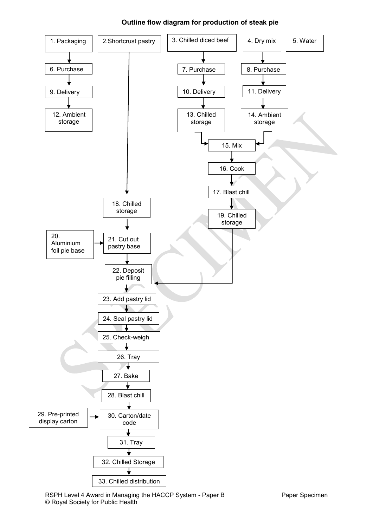

#### **Outline flow diagram for production of steak pie**

RSPH Level 4 Award in Managing the HACCP System - Paper B Paper Specimen © Royal Society for Public Health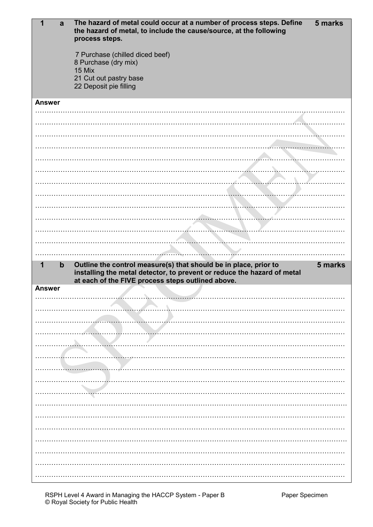| a                | 5 marks<br>The hazard of metal could occur at a number of process steps. Define<br>the hazard of metal, to include the cause/source, at the following<br>process steps. |
|------------------|-------------------------------------------------------------------------------------------------------------------------------------------------------------------------|
|                  | 7 Purchase (chilled diced beef)<br>8 Purchase (dry mix)                                                                                                                 |
|                  | 15 Mix<br>21 Cut out pastry base<br>22 Deposit pie filling                                                                                                              |
|                  |                                                                                                                                                                         |
| <b>Answer</b>    |                                                                                                                                                                         |
|                  |                                                                                                                                                                         |
|                  |                                                                                                                                                                         |
|                  |                                                                                                                                                                         |
|                  |                                                                                                                                                                         |
|                  |                                                                                                                                                                         |
|                  |                                                                                                                                                                         |
|                  |                                                                                                                                                                         |
|                  |                                                                                                                                                                         |
|                  |                                                                                                                                                                         |
|                  |                                                                                                                                                                         |
|                  |                                                                                                                                                                         |
|                  |                                                                                                                                                                         |
|                  |                                                                                                                                                                         |
| $\mathbf b$<br>1 | Outline the control measure(s) that should be in place, prior to<br>5 marks                                                                                             |
|                  | installing the metal detector, to prevent or reduce the hazard of metal<br>at each of the FIVE process steps outlined above.                                            |
| <b>Answer</b>    |                                                                                                                                                                         |
|                  |                                                                                                                                                                         |
|                  |                                                                                                                                                                         |
|                  |                                                                                                                                                                         |
|                  |                                                                                                                                                                         |
|                  |                                                                                                                                                                         |
|                  |                                                                                                                                                                         |
|                  |                                                                                                                                                                         |
|                  |                                                                                                                                                                         |
|                  |                                                                                                                                                                         |
|                  |                                                                                                                                                                         |
|                  |                                                                                                                                                                         |
|                  |                                                                                                                                                                         |
|                  |                                                                                                                                                                         |
|                  |                                                                                                                                                                         |
|                  |                                                                                                                                                                         |
|                  |                                                                                                                                                                         |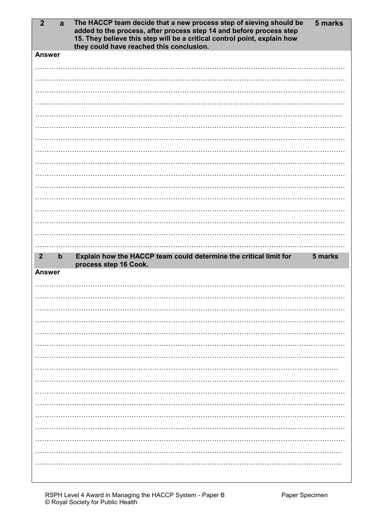| $\mathbf{2}$<br>a               | 5 marks<br>The HACCP team decide that a new process step of sieving should be<br>added to the process, after process step 14 and before process step<br>15. They believe this step will be a critical control point, explain how<br>they could have reached this conclusion. |
|---------------------------------|------------------------------------------------------------------------------------------------------------------------------------------------------------------------------------------------------------------------------------------------------------------------------|
| <b>Answer</b>                   |                                                                                                                                                                                                                                                                              |
|                                 |                                                                                                                                                                                                                                                                              |
|                                 |                                                                                                                                                                                                                                                                              |
|                                 |                                                                                                                                                                                                                                                                              |
|                                 |                                                                                                                                                                                                                                                                              |
|                                 |                                                                                                                                                                                                                                                                              |
|                                 |                                                                                                                                                                                                                                                                              |
|                                 |                                                                                                                                                                                                                                                                              |
|                                 |                                                                                                                                                                                                                                                                              |
|                                 |                                                                                                                                                                                                                                                                              |
|                                 |                                                                                                                                                                                                                                                                              |
|                                 |                                                                                                                                                                                                                                                                              |
|                                 |                                                                                                                                                                                                                                                                              |
|                                 |                                                                                                                                                                                                                                                                              |
|                                 |                                                                                                                                                                                                                                                                              |
|                                 |                                                                                                                                                                                                                                                                              |
|                                 |                                                                                                                                                                                                                                                                              |
|                                 |                                                                                                                                                                                                                                                                              |
| $\mathbf b$<br>$\boldsymbol{2}$ | Explain how the HACCP team could determine the critical limit for<br>5 marks                                                                                                                                                                                                 |
| <b>Answer</b>                   | process step 16 Cook.                                                                                                                                                                                                                                                        |
|                                 |                                                                                                                                                                                                                                                                              |
|                                 |                                                                                                                                                                                                                                                                              |
|                                 |                                                                                                                                                                                                                                                                              |
|                                 |                                                                                                                                                                                                                                                                              |
|                                 |                                                                                                                                                                                                                                                                              |
|                                 |                                                                                                                                                                                                                                                                              |
|                                 |                                                                                                                                                                                                                                                                              |
|                                 |                                                                                                                                                                                                                                                                              |
|                                 |                                                                                                                                                                                                                                                                              |
|                                 |                                                                                                                                                                                                                                                                              |
|                                 |                                                                                                                                                                                                                                                                              |
|                                 |                                                                                                                                                                                                                                                                              |
|                                 |                                                                                                                                                                                                                                                                              |
|                                 |                                                                                                                                                                                                                                                                              |
|                                 |                                                                                                                                                                                                                                                                              |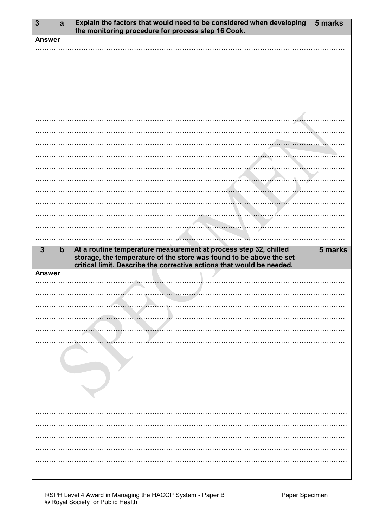| $\mathbf{3}$  | a           | Explain the factors that would need to be considered when developing<br>the monitoring procedure for process step 16 Cook.                                                                                       | 5 marks |
|---------------|-------------|------------------------------------------------------------------------------------------------------------------------------------------------------------------------------------------------------------------|---------|
| <b>Answer</b> |             |                                                                                                                                                                                                                  |         |
|               |             |                                                                                                                                                                                                                  |         |
|               |             |                                                                                                                                                                                                                  |         |
|               |             |                                                                                                                                                                                                                  |         |
|               |             |                                                                                                                                                                                                                  |         |
|               |             |                                                                                                                                                                                                                  |         |
|               |             |                                                                                                                                                                                                                  |         |
|               |             |                                                                                                                                                                                                                  |         |
|               |             |                                                                                                                                                                                                                  |         |
|               |             |                                                                                                                                                                                                                  |         |
|               |             |                                                                                                                                                                                                                  |         |
|               |             |                                                                                                                                                                                                                  |         |
|               |             |                                                                                                                                                                                                                  |         |
|               |             |                                                                                                                                                                                                                  |         |
|               |             |                                                                                                                                                                                                                  |         |
|               |             |                                                                                                                                                                                                                  |         |
|               |             |                                                                                                                                                                                                                  |         |
|               |             |                                                                                                                                                                                                                  |         |
| $\mathbf{3}$  | $\mathbf b$ | At a routine temperature measurement at process step 32, chilled<br>storage, the temperature of the store was found to be above the set<br>critical limit. Describe the corrective actions that would be needed. | 5 marks |
| <b>Answer</b> |             |                                                                                                                                                                                                                  |         |
|               |             |                                                                                                                                                                                                                  |         |
|               |             |                                                                                                                                                                                                                  |         |
|               |             |                                                                                                                                                                                                                  |         |
|               |             |                                                                                                                                                                                                                  |         |
|               |             |                                                                                                                                                                                                                  |         |
|               |             |                                                                                                                                                                                                                  |         |
|               |             |                                                                                                                                                                                                                  |         |
|               |             |                                                                                                                                                                                                                  |         |
|               |             |                                                                                                                                                                                                                  |         |
|               |             |                                                                                                                                                                                                                  |         |
|               |             |                                                                                                                                                                                                                  |         |
|               |             |                                                                                                                                                                                                                  |         |
|               |             |                                                                                                                                                                                                                  |         |
|               |             |                                                                                                                                                                                                                  |         |
|               |             |                                                                                                                                                                                                                  |         |
|               |             |                                                                                                                                                                                                                  |         |
|               |             |                                                                                                                                                                                                                  |         |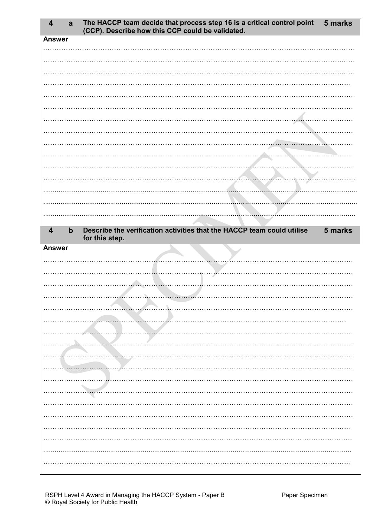| $\overline{\mathbf{4}}$ | $\mathbf{a}$  | The HACCP team decide that process step 16 is a critical control point<br>(CCP). Describe how this CCP could be validated. | 5 marks |
|-------------------------|---------------|----------------------------------------------------------------------------------------------------------------------------|---------|
|                         | <b>Answer</b> |                                                                                                                            |         |
|                         |               |                                                                                                                            |         |
|                         |               |                                                                                                                            |         |
|                         |               |                                                                                                                            |         |
|                         |               |                                                                                                                            |         |
|                         |               |                                                                                                                            |         |
|                         |               |                                                                                                                            |         |
|                         |               |                                                                                                                            |         |
|                         |               |                                                                                                                            |         |
|                         |               |                                                                                                                            |         |
|                         |               |                                                                                                                            |         |
|                         |               |                                                                                                                            |         |
|                         |               |                                                                                                                            |         |
|                         |               |                                                                                                                            |         |
|                         |               |                                                                                                                            |         |
|                         |               |                                                                                                                            |         |
| $\overline{4}$          | $\bm{b}$      | Describe the verification activities that the HACCP team could utilise<br>for this step.                                   | 5 marks |
|                         | <b>Answer</b> |                                                                                                                            |         |
|                         |               |                                                                                                                            |         |
|                         |               |                                                                                                                            |         |
|                         |               |                                                                                                                            |         |
|                         |               | the contract of the contract of                                                                                            |         |
|                         |               |                                                                                                                            |         |
|                         |               |                                                                                                                            |         |
|                         |               |                                                                                                                            |         |
|                         |               |                                                                                                                            |         |
|                         |               |                                                                                                                            |         |
|                         |               |                                                                                                                            |         |
|                         |               |                                                                                                                            |         |
|                         |               |                                                                                                                            |         |
|                         |               |                                                                                                                            |         |
|                         |               |                                                                                                                            |         |
|                         |               |                                                                                                                            |         |
|                         |               |                                                                                                                            |         |
|                         |               |                                                                                                                            |         |
|                         |               |                                                                                                                            |         |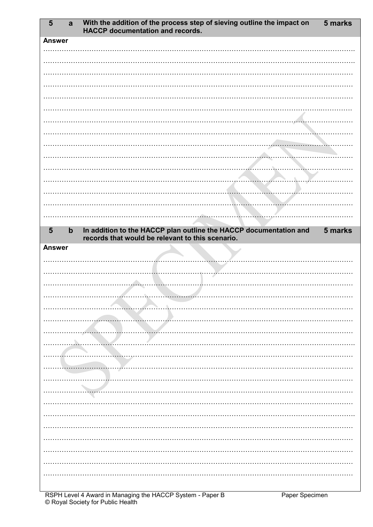| $5\phantom{1}$ | $\mathbf{a}$ | With the addition of the process step of sieving outline the impact on<br><b>HACCP</b> documentation and records.     | 5 marks |
|----------------|--------------|-----------------------------------------------------------------------------------------------------------------------|---------|
| <b>Answer</b>  |              |                                                                                                                       |         |
|                |              |                                                                                                                       |         |
|                |              |                                                                                                                       |         |
|                |              |                                                                                                                       |         |
|                |              |                                                                                                                       |         |
|                |              |                                                                                                                       |         |
|                |              |                                                                                                                       |         |
|                |              |                                                                                                                       |         |
|                |              |                                                                                                                       |         |
|                |              |                                                                                                                       |         |
|                |              |                                                                                                                       |         |
|                |              |                                                                                                                       |         |
|                |              |                                                                                                                       |         |
|                |              |                                                                                                                       |         |
|                |              |                                                                                                                       |         |
|                |              |                                                                                                                       |         |
|                |              |                                                                                                                       |         |
| $5\phantom{1}$ | $\mathbf b$  | In addition to the HACCP plan outline the HACCP documentation and<br>records that would be relevant to this scenario. | 5 marks |
| <b>Answer</b>  |              |                                                                                                                       |         |
|                |              |                                                                                                                       |         |
|                |              |                                                                                                                       |         |
|                |              |                                                                                                                       |         |
|                |              |                                                                                                                       |         |
|                |              |                                                                                                                       |         |
|                |              |                                                                                                                       |         |
|                |              |                                                                                                                       |         |
|                |              |                                                                                                                       |         |
|                |              |                                                                                                                       |         |
|                |              |                                                                                                                       |         |
|                |              |                                                                                                                       |         |
|                |              |                                                                                                                       |         |
|                |              |                                                                                                                       |         |
|                |              |                                                                                                                       |         |
|                |              |                                                                                                                       |         |
|                |              |                                                                                                                       |         |
|                |              |                                                                                                                       |         |
|                |              |                                                                                                                       |         |
|                |              |                                                                                                                       |         |
|                |              |                                                                                                                       |         |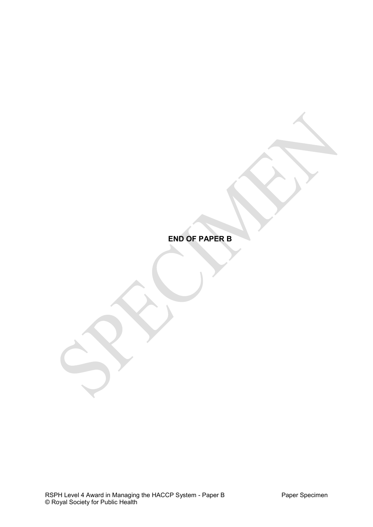**END OF PAPER B**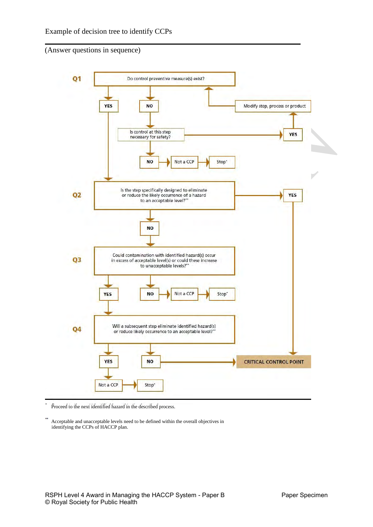(Answer questions in sequence)



Proceed to the next identified hazard in the described process.

Acceptable and unacceptable levels need to be defined within the overall objectives in identifying the CCPs of HACCP plan.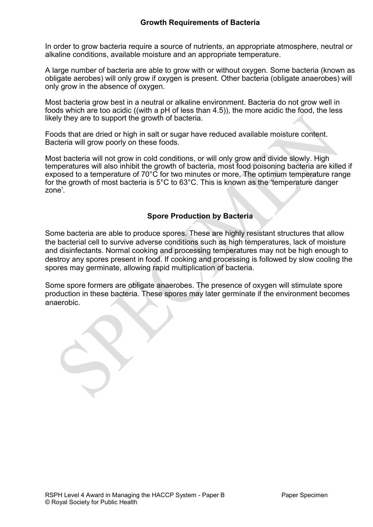In order to grow bacteria require a source of nutrients, an appropriate atmosphere, neutral or alkaline conditions, available moisture and an appropriate temperature.

A large number of bacteria are able to grow with or without oxygen. Some bacteria (known as obligate aerobes) will only grow if oxygen is present. Other bacteria (obligate anaerobes) will only grow in the absence of oxygen.

Most bacteria grow best in a neutral or alkaline environment. Bacteria do not grow well in foods which are too acidic ((with a pH of less than 4.5)), the more acidic the food, the less likely they are to support the growth of bacteria.

Foods that are dried or high in salt or sugar have reduced available moisture content. Bacteria will grow poorly on these foods.

Most bacteria will not grow in cold conditions, or will only grow and divide slowly. High temperatures will also inhibit the growth of bacteria, most food poisoning bacteria are killed if exposed to a temperature of 70°C for two minutes or more. The optimum temperature range for the growth of most bacteria is 5°C to 63°C. This is known as the 'temperature danger zone'.

#### **Spore Production by Bacteria**

Some bacteria are able to produce spores. These are highly resistant structures that allow the bacterial cell to survive adverse conditions such as high temperatures, lack of moisture and disinfectants. Normal cooking and processing temperatures may not be high enough to destroy any spores present in food. If cooking and processing is followed by slow cooling the spores may germinate, allowing rapid multiplication of bacteria.

Some spore formers are obligate anaerobes. The presence of oxygen will stimulate spore production in these bacteria. These spores may later germinate if the environment becomes anaerobic.